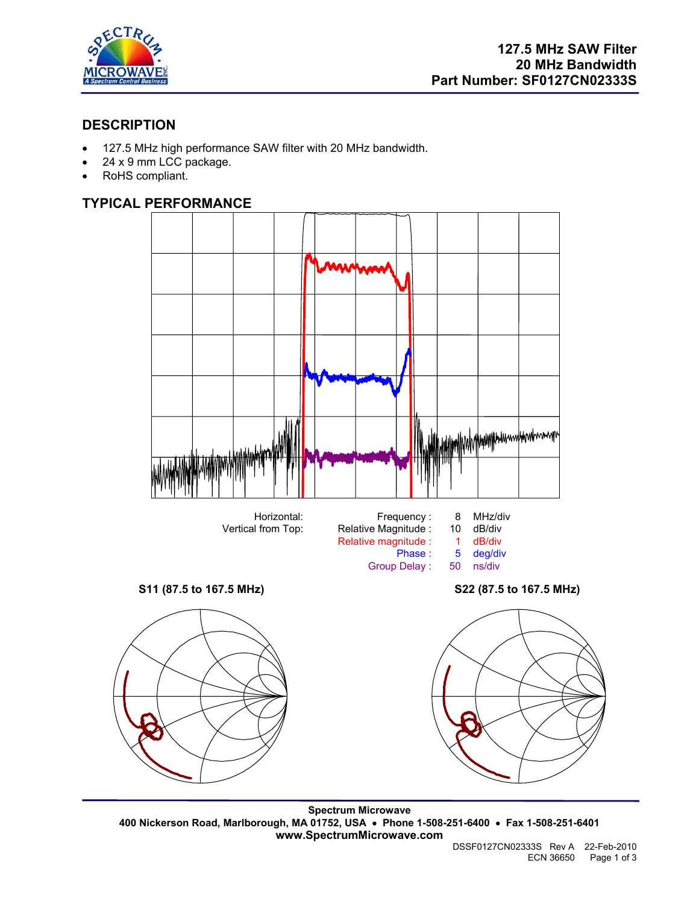

## **DESCRIPTION**

- 127.5 MHz high performance SAW filter with 20 MHz bandwidth.
- 24 x 9 mm LCC package.
- RoHS compliant.

## **TYPICAL PERFORMANCE**



**Spectrum Microwave 400 Nickerson Road, Marlborough, MA 01752, USA** • **Phone 1-508-251-6400** • **Fax 1-508-251-6401 www.SpectrumMicrowave.com**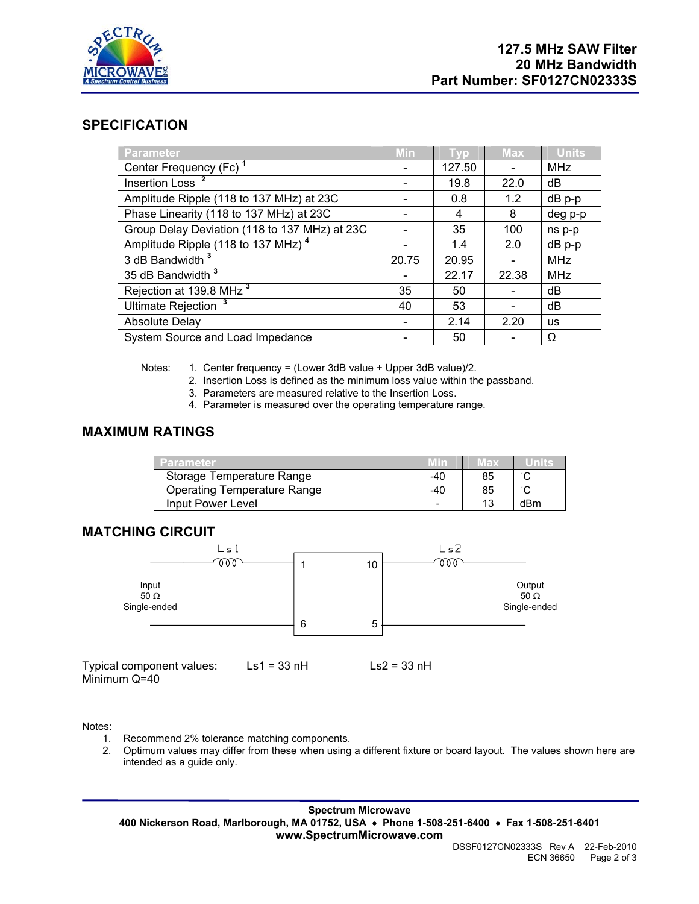

### **SPECIFICATION**

| Parameter                                      | <b>Min</b>               | <b>TVD</b> | <b>Max</b> | <b>Units</b> |
|------------------------------------------------|--------------------------|------------|------------|--------------|
| Center Frequency (Fc) <sup>1</sup>             |                          | 127.50     |            | <b>MHz</b>   |
| Insertion Loss <sup>2</sup>                    |                          | 19.8       | 22.0       | dB           |
| Amplitude Ripple (118 to 137 MHz) at 23C       |                          | 0.8        | 1.2        | $dB$ p-p     |
| Phase Linearity (118 to 137 MHz) at 23C        |                          | 4          | 8          | deg p-p      |
| Group Delay Deviation (118 to 137 MHz) at 23C  |                          | 35         | 100        | ns p-p       |
| Amplitude Ripple (118 to 137 MHz) <sup>4</sup> | $\overline{\phantom{a}}$ | 1.4        | 2.0        | $dB$ $p-p$   |
| 3 dB Bandwidth <sup>3</sup>                    | 20.75                    | 20.95      |            | <b>MHz</b>   |
| 35 dB Bandwidth <sup>3</sup>                   |                          | 22.17      | 22.38      | <b>MHz</b>   |
| Rejection at 139.8 MHz <sup>3</sup>            | 35                       | 50         |            | dB           |
| Ultimate Rejection <sup>3</sup>                | 40                       | 53         |            | dB           |
| <b>Absolute Delay</b>                          |                          | 2.14       | 2.20       | <b>us</b>    |
| System Source and Load Impedance               |                          | 50         |            | Ω            |

Notes: 1. Center frequency = (Lower 3dB value + Upper 3dB value)/2.

- 2. Insertion Loss is defined as the minimum loss value within the passband.
- 3. Parameters are measured relative to the Insertion Loss.
- 4. Parameter is measured over the operating temperature range.

## **MAXIMUM RATINGS**

| <b>Parameter</b>                   |     | wax |                     |
|------------------------------------|-----|-----|---------------------|
| Storage Temperature Range          | -40 | 85  | $\sim$              |
| <b>Operating Temperature Range</b> | -40 | 85  | $\hat{\phantom{a}}$ |
| Input Power Level                  | -   | 13  | dBm                 |

#### **MATCHING CIRCUIT**



Notes:

- 1. Recommend 2% tolerance matching components.
- 2. Optimum values may differ from these when using a different fixture or board layout. The values shown here are intended as a guide only.

**Spectrum Microwave 400 Nickerson Road, Marlborough, MA 01752, USA** • **Phone 1-508-251-6400** • **Fax 1-508-251-6401 www.SpectrumMicrowave.com**